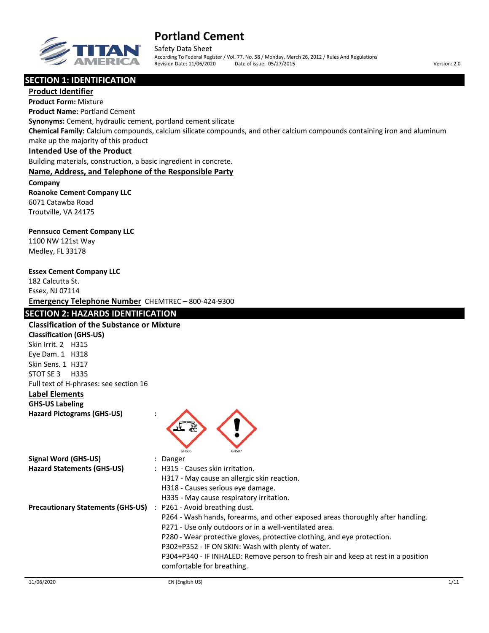

Safety Data Sheet According To Federal Register / Vol. 77, No. 58 / Monday, March 26, 2012 / Rules And Regulations Revision Date: 11/06/2020 Date of issue: 05/27/2015 Version: 2.0

# **SECTION 1: IDENTIFICATION**

**Product Identifier Product Form:** Mixture **Product Name:** Portland Cement **Synonyms:** Cement, hydraulic cement, portland cement silicate **Chemical Family:** Calcium compounds, calcium silicate compounds, and other calcium compounds containing iron and aluminum make up the majority of this product **Intended Use of the Product**

Building materials, construction, a basic ingredient in concrete.

### **Name, Address, and Telephone of the Responsible Party**

**Company Roanoke Cement Company LLC** 6071 Catawba Road Troutville, VA 24175

#### **Pennsuco Cement Company LLC**

1100 NW 121st Way Medley, FL 33178

#### **Essex Cement Company LLC**

182 Calcutta St. Essex, NJ 07114 **Emergency Telephone Number** CHEMTREC – 800‐424‐9300

### **SECTION 2: HAZARDS IDENTIFICATION**

#### **Classification of the Substance or Mixture**

**Classification (GHS‐US)** Skin Irrit. 2 H315 Eye Dam. 1 H318 Skin Sens. 1 H317 STOT SE 3 H335 Full text of H‐phrases: see section 16

### **Label Elements**

**GHS‐US Labeling Hazard Pictograms (GHS‐US)** :



| Signal Word (GHS-US)                     | Danger                                                                            |
|------------------------------------------|-----------------------------------------------------------------------------------|
| <b>Hazard Statements (GHS-US)</b>        | : H315 - Causes skin irritation.                                                  |
|                                          | H317 - May cause an allergic skin reaction.                                       |
|                                          | H318 - Causes serious eye damage.                                                 |
|                                          | H335 - May cause respiratory irritation.                                          |
| <b>Precautionary Statements (GHS-US)</b> | : P261 - Avoid breathing dust.                                                    |
|                                          | P264 - Wash hands, forearms, and other exposed areas thoroughly after handling.   |
|                                          | P271 - Use only outdoors or in a well-ventilated area.                            |
|                                          | P280 - Wear protective gloves, protective clothing, and eye protection.           |
|                                          | P302+P352 - IF ON SKIN: Wash with plenty of water.                                |
|                                          | P304+P340 - IF INHALED: Remove person to fresh air and keep at rest in a position |
|                                          | comfortable for breathing.                                                        |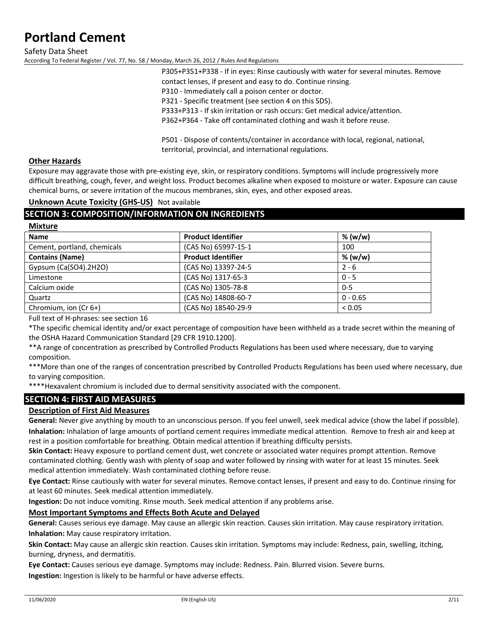Safety Data Sheet According To Federal Register / Vol. 77, No. 58 / Monday, March 26, 2012 / Rules And Regulations

> P305+P351+P338 ‐ If in eyes: Rinse cautiously with water for several minutes. Remove contact lenses, if present and easy to do. Continue rinsing. P310 ‐ Immediately call a poison center or doctor. P321 - Specific treatment (see section 4 on this SDS). P333+P313 ‐ If skin irritation or rash occurs: Get medical advice/attention. P362+P364 ‐ Take off contaminated clothing and wash it before reuse.

P501 - Dispose of contents/container in accordance with local, regional, national, territorial, provincial, and international regulations.

## **Other Hazards**

**Mixture**

Exposure may aggravate those with pre‐existing eye, skin, or respiratory conditions. Symptoms will include progressively more difficult breathing, cough, fever, and weight loss. Product becomes alkaline when exposed to moisture or water. Exposure can cause chemical burns, or severe irritation of the mucous membranes, skin, eyes, and other exposed areas.

### **Unknown Acute Toxicity (GHS‐US)** Not available

# **SECTION 3: COMPOSITION/INFORMATION ON INGREDIENTS**

| .                           |                           |         |
|-----------------------------|---------------------------|---------|
| <b>Name</b>                 | <b>Product Identifier</b> | % (w/w) |
| Cement, portland, chemicals | (CAS No) 65997-15-1       | 100     |
| <b>Contains (Name)</b>      | <b>Product Identifier</b> | % (w/w) |
| Gypsum (Ca(SO4).2H2O)       | (CAS No) 13397-24-5       | $2 - 6$ |
| Limestone                   | (CAS No) 1317-65-3        | $0 - 5$ |
| Calcium oxide               | (CAS No) 1305-78-8        | $0 - 5$ |

Full text of H‐phrases: see section 16

\*The specific chemical identity and/or exact percentage of composition have been withheld as a trade secret within the meaning of the OSHA Hazard Communication Standard [29 CFR 1910.1200].

\*\*A range of concentration as prescribed by Controlled Products Regulations has been used where necessary, due to varying composition.

\*\*\*More than one of the ranges of concentration prescribed by Controlled Products Regulations has been used where necessary, due to varying composition.

\*\*\*\*Hexavalent chromium is included due to dermal sensitivity associated with the component.

Quartz (CAS No) 14808‐60‐7 (CAS No) 14808‐60‐7 (CAS No) 14808‐60‐7 (CAS No) 14808‐60‐7 (CAS No) 14808‐60‐7 (CAS No Chromium, ion (Cr 6+) (CAS No) 18540‐29‐9 < 0.05

# **SECTION 4: FIRST AID MEASURES**

# **Description of First Aid Measures**

**General:** Never give anything by mouth to an unconscious person. If you feel unwell, seek medical advice (show the label if possible). **Inhalation:** Inhalation of large amounts of portland cement requires immediate medical attention. Remove to fresh air and keep at rest in a position comfortable for breathing. Obtain medical attention if breathing difficulty persists.

**Skin Contact:** Heavy exposure to portland cement dust, wet concrete or associated water requires prompt attention. Remove contaminated clothing. Gently wash with plenty of soap and water followed by rinsing with water for at least 15 minutes. Seek medical attention immediately. Wash contaminated clothing before reuse.

**Eye Contact:** Rinse cautiously with water for several minutes. Remove contact lenses, if present and easy to do. Continue rinsing for at least 60 minutes. Seek medical attention immediately.

**Ingestion:** Do not induce vomiting. Rinse mouth. Seek medical attention if any problems arise.

# **Most Important Symptoms and Effects Both Acute and Delayed**

**General:** Causes serious eye damage. May cause an allergic skin reaction. Causes skin irritation. May cause respiratory irritation. **Inhalation:** May cause respiratory irritation.

**Skin Contact:** May cause an allergic skin reaction. Causes skin irritation. Symptoms may include: Redness, pain, swelling, itching, burning, dryness, and dermatitis.

**Eye Contact:** Causes serious eye damage. Symptoms may include: Redness. Pain. Blurred vision. Severe burns. **Ingestion:** Ingestion is likely to be harmful or have adverse effects.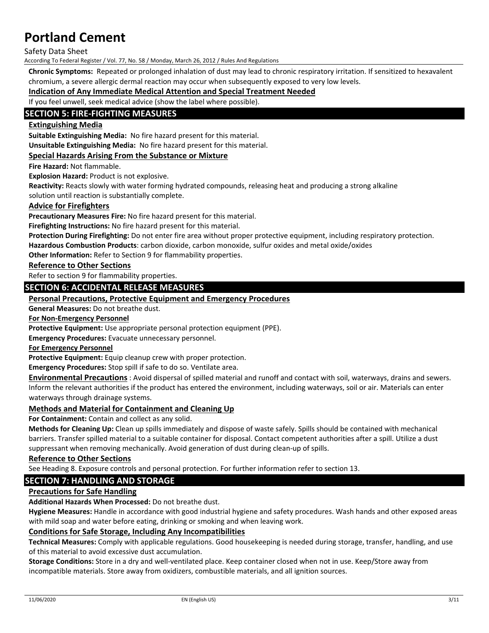Safety Data Sheet

According To Federal Register / Vol. 77, No. 58 / Monday, March 26, 2012 / Rules And Regulations

**Chronic Symptoms:** Repeated or prolonged inhalation of dust may lead to chronic respiratory irritation. If sensitized to hexavalent chromium, a severe allergic dermal reaction may occur when subsequently exposed to very low levels.

### **Indication of Any Immediate Medical Attention and Special Treatment Needed**

If you feel unwell, seek medical advice (show the label where possible).

## **SECTION 5: FIRE‐FIGHTING MEASURES**

#### **Extinguishing Media**

**Suitable Extinguishing Media:** No fire hazard present for this material.

**Unsuitable Extinguishing Media:** No fire hazard present for this material.

#### **Special Hazards Arising From the Substance or Mixture**

**Fire Hazard:** Not flammable.

**Explosion Hazard:** Product is not explosive.

**Reactivity:** Reacts slowly with water forming hydrated compounds, releasing heat and producing a strong alkaline

solution until reaction is substantially complete.

#### **Advice for Firefighters**

**Precautionary Measures Fire:** No fire hazard present for this material.

**Firefighting Instructions:** No fire hazard present for this material.

**Protection During Firefighting:** Do not enter fire area without proper protective equipment, including respiratory protection.

**Hazardous Combustion Products**: carbon dioxide, carbon monoxide, sulfur oxides and metal oxide/oxides

**Other Information:** Refer to Section 9 for flammability properties.

**Reference to Other Sections**

Refer to section 9 for flammability properties.

### **SECTION 6: ACCIDENTAL RELEASE MEASURES**

#### **Personal Precautions, Protective Equipment and Emergency Procedures**

**General Measures:** Do not breathe dust.

**For Non‐Emergency Personnel**

**Protective Equipment:** Use appropriate personal protection equipment (PPE).

**Emergency Procedures:** Evacuate unnecessary personnel.

**For Emergency Personnel**

**Protective Equipment:** Equip cleanup crew with proper protection.

**Emergency Procedures:** Stop spill if safe to do so. Ventilate area.

**Environmental Precautions** : Avoid dispersal of spilled material and runoff and contact with soil, waterways, drains and sewers. Inform the relevant authorities if the product has entered the environment, including waterways, soil or air. Materials can enter waterways through drainage systems.

#### **Methods and Material for Containment and Cleaning Up**

**For Containment:** Contain and collect as any solid.

**Methods for Cleaning Up:** Clean up spills immediately and dispose of waste safely. Spills should be contained with mechanical barriers. Transfer spilled material to a suitable container for disposal. Contact competent authorities after a spill. Utilize a dust suppressant when removing mechanically. Avoid generation of dust during clean-up of spills.

#### **Reference to Other Sections**

See Heading 8. Exposure controls and personal protection. For further information refer to section 13.

## **SECTION 7: HANDLING AND STORAGE**

#### **Precautions for Safe Handling**

**Additional Hazards When Processed:** Do not breathe dust.

**Hygiene Measures:** Handle in accordance with good industrial hygiene and safety procedures. Wash hands and other exposed areas with mild soap and water before eating, drinking or smoking and when leaving work.

#### **Conditions for Safe Storage, Including Any Incompatibilities**

**Technical Measures:** Comply with applicable regulations. Good housekeeping is needed during storage, transfer, handling, and use of this material to avoid excessive dust accumulation.

**Storage Conditions:** Store in a dry and well‐ventilated place. Keep container closed when not in use. Keep/Store away from incompatible materials. Store away from oxidizers, combustible materials, and all ignition sources.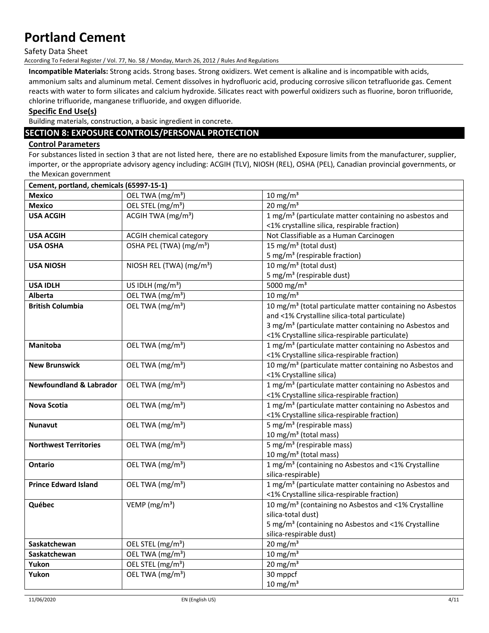#### Safety Data Sheet

According To Federal Register / Vol. 77, No. 58 / Monday, March 26, 2012 / Rules And Regulations

**Incompatible Materials:** Strong acids. Strong bases. Strong oxidizers. Wet cement is alkaline and is incompatible with acids, ammonium salts and aluminum metal. Cement dissolves in hydrofluoric acid, producing corrosive silicon tetrafluoride gas. Cement reacts with water to form silicates and calcium hydroxide. Silicates react with powerful oxidizers such as fluorine, boron trifluoride, chlorine trifluoride, manganese trifluoride, and oxygen difluoride.

#### **Specific End Use(s)**

Building materials, construction, a basic ingredient in concrete.

# **SECTION 8: EXPOSURE CONTROLS/PERSONAL PROTECTION**

# **Control Parameters**

For substances listed in section 3 that are not listed here, there are no established Exposure limits from the manufacturer, supplier, importer, or the appropriate advisory agency including: ACGIH (TLV), NIOSH (REL), OSHA (PEL), Canadian provincial governments, or the Mexican government

| Cement, portland, chemicals (65997-15-1) |                                      |                                                                                       |
|------------------------------------------|--------------------------------------|---------------------------------------------------------------------------------------|
| <b>Mexico</b>                            | OEL TWA (mg/m <sup>3</sup> )         | $10 \text{ mg/m}^3$                                                                   |
| <b>Mexico</b>                            | OEL STEL (mg/m <sup>3</sup> )        | $20 \text{ mg/m}^3$                                                                   |
| <b>USA ACGIH</b>                         | ACGIH TWA (mg/m <sup>3</sup> )       | 1 mg/m <sup>3</sup> (particulate matter containing no asbestos and                    |
|                                          |                                      | <1% crystalline silica, respirable fraction)                                          |
| <b>USA ACGIH</b>                         | <b>ACGIH chemical category</b>       | Not Classifiable as a Human Carcinogen                                                |
| <b>USA OSHA</b>                          | OSHA PEL (TWA) (mg/m <sup>3</sup> )  | 15 mg/m <sup>3</sup> (total dust)                                                     |
|                                          |                                      | 5 mg/m <sup>3</sup> (respirable fraction)                                             |
| <b>USA NIOSH</b>                         | NIOSH REL (TWA) (mg/m <sup>3</sup> ) | 10 mg/m <sup>3</sup> (total dust)                                                     |
|                                          |                                      | 5 mg/m <sup>3</sup> (respirable dust)                                                 |
| <b>USA IDLH</b>                          | US IDLH (mg/m <sup>3</sup> )         | 5000 mg/m <sup>3</sup>                                                                |
| Alberta                                  | OEL TWA (mg/m <sup>3</sup> )         | 10 mg/m $\frac{1}{3}$                                                                 |
| <b>British Columbia</b>                  | OEL TWA (mg/m <sup>3</sup> )         | 10 mg/m <sup>3</sup> (total particulate matter containing no Asbestos                 |
|                                          |                                      | and <1% Crystalline silica-total particulate)                                         |
|                                          |                                      | 3 mg/m <sup>3</sup> (particulate matter containing no Asbestos and                    |
|                                          |                                      | <1% Crystalline silica-respirable particulate)                                        |
| <b>Manitoba</b>                          | OEL TWA (mg/m <sup>3</sup> )         | 1 mg/m <sup>3</sup> (particulate matter containing no Asbestos and                    |
|                                          |                                      | <1% Crystalline silica-respirable fraction)                                           |
| <b>New Brunswick</b>                     | OEL TWA (mg/m <sup>3</sup> )         | 10 mg/m <sup>3</sup> (particulate matter containing no Asbestos and                   |
|                                          |                                      | <1% Crystalline silica)                                                               |
| <b>Newfoundland &amp; Labrador</b>       | OEL TWA (mg/m <sup>3</sup> )         | 1 mg/m <sup>3</sup> (particulate matter containing no Asbestos and                    |
|                                          |                                      | <1% Crystalline silica-respirable fraction)                                           |
| <b>Nova Scotia</b>                       | OEL TWA (mg/m <sup>3</sup> )         | 1 mg/m <sup>3</sup> (particulate matter containing no Asbestos and                    |
|                                          |                                      | <1% Crystalline silica-respirable fraction)                                           |
| <b>Nunavut</b>                           | OEL TWA (mg/m <sup>3</sup> )         | 5 mg/m <sup>3</sup> (respirable mass)                                                 |
|                                          |                                      | 10 mg/m <sup>3</sup> (total mass)                                                     |
| <b>Northwest Territories</b>             | OEL TWA (mg/m <sup>3</sup> )         | 5 mg/m <sup>3</sup> (respirable mass)                                                 |
|                                          |                                      | 10 mg/m <sup>3</sup> (total mass)                                                     |
| Ontario                                  | OEL TWA (mg/m <sup>3</sup> )         | 1 mg/m <sup>3</sup> (containing no Asbestos and <1% Crystalline<br>silica-respirable) |
| <b>Prince Edward Island</b>              | OEL TWA (mg/m <sup>3</sup> )         | 1 mg/m <sup>3</sup> (particulate matter containing no Asbestos and                    |
|                                          |                                      | <1% Crystalline silica-respirable fraction)                                           |
| Québec                                   | VEMP ( $mg/m3$ )                     | 10 mg/m <sup>3</sup> (containing no Asbestos and <1% Crystalline                      |
|                                          |                                      | silica-total dust)                                                                    |
|                                          |                                      | 5 mg/m <sup>3</sup> (containing no Asbestos and <1% Crystalline                       |
|                                          |                                      | silica-respirable dust)                                                               |
| Saskatchewan                             | OEL STEL (mg/m <sup>3</sup> )        | $20$ mg/m <sup>3</sup>                                                                |
| Saskatchewan                             | OEL TWA (mg/m <sup>3</sup> )         | $10 \text{ mg/m}^3$                                                                   |
| Yukon                                    | OEL STEL (mg/m <sup>3</sup> )        | $20$ mg/m <sup>3</sup>                                                                |
| Yukon                                    | OEL TWA (mg/m <sup>3</sup> )         | 30 mppcf                                                                              |
|                                          |                                      | $10 \text{ mg/m}^3$                                                                   |
|                                          |                                      |                                                                                       |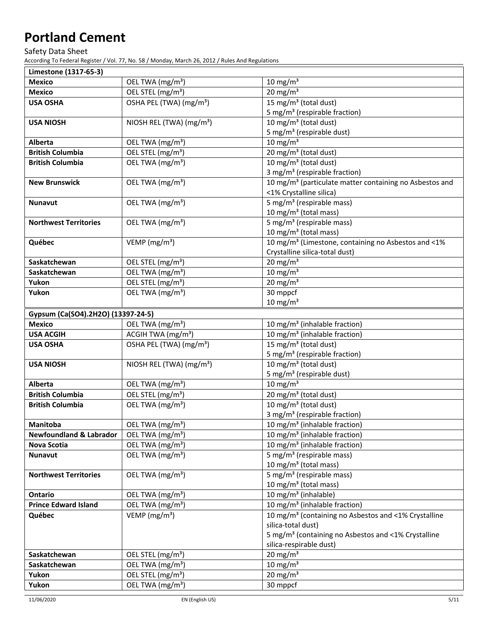Safety Data Sheet

According To Federal Register / Vol. 77, No. 58 / Monday, March 26, 2012 / Rules And Regulations

| Limestone (1317-65-3)              |                                      |                                                                     |
|------------------------------------|--------------------------------------|---------------------------------------------------------------------|
| <b>Mexico</b>                      | OEL TWA (mg/m <sup>3</sup> )         | 10 mg/m $\frac{3}{3}$                                               |
| <b>Mexico</b>                      | OEL STEL (mg/m <sup>3</sup> )        | $20 \text{ mg/m}^3$                                                 |
| <b>USA OSHA</b>                    | OSHA PEL (TWA) (mg/m <sup>3</sup> )  | 15 mg/m <sup>3</sup> (total dust)                                   |
|                                    |                                      | 5 mg/m <sup>3</sup> (respirable fraction)                           |
| <b>USA NIOSH</b>                   | NIOSH REL (TWA) (mg/m <sup>3</sup> ) | 10 mg/m <sup>3</sup> (total dust)                                   |
|                                    |                                      | 5 mg/m <sup>3</sup> (respirable dust)                               |
| Alberta                            | OEL TWA (mg/m <sup>3</sup> )         | $10 \text{ mg/m}^3$                                                 |
| <b>British Columbia</b>            | OEL STEL (mg/m <sup>3</sup> )        | 20 mg/m <sup>3</sup> (total dust)                                   |
| <b>British Columbia</b>            | OEL TWA (mg/m <sup>3</sup> )         | 10 mg/m <sup>3</sup> (total dust)                                   |
|                                    |                                      | 3 mg/m <sup>3</sup> (respirable fraction)                           |
| <b>New Brunswick</b>               | OEL TWA (mg/m <sup>3</sup> )         | 10 mg/m <sup>3</sup> (particulate matter containing no Asbestos and |
|                                    |                                      | <1% Crystalline silica)                                             |
| <b>Nunavut</b>                     | OEL TWA (mg/m <sup>3</sup> )         | 5 mg/m <sup>3</sup> (respirable mass)                               |
|                                    |                                      | 10 mg/m <sup>3</sup> (total mass)                                   |
| <b>Northwest Territories</b>       | OEL TWA (mg/m <sup>3</sup> )         | 5 mg/m <sup>3</sup> (respirable mass)                               |
|                                    |                                      | 10 mg/m <sup>3</sup> (total mass)                                   |
| Québec                             | VEMP ( $mg/m3$ )                     | 10 mg/m <sup>3</sup> (Limestone, containing no Asbestos and <1%     |
|                                    |                                      | Crystalline silica-total dust)                                      |
| Saskatchewan                       | OEL STEL (mg/m <sup>3</sup> )        | $20 \text{ mg/m}^3$                                                 |
| Saskatchewan                       | OEL TWA (mg/m <sup>3</sup> )         | $10 \text{ mg/m}^3$                                                 |
| Yukon                              | OEL STEL (mg/m <sup>3</sup> )        | $20 \text{ mg/m}^3$                                                 |
| Yukon                              | OEL TWA (mg/m <sup>3</sup> )         | 30 mppcf                                                            |
|                                    |                                      | $10 \text{ mg/m}^3$                                                 |
| Gypsum (Ca(SO4).2H2O) (13397-24-5) |                                      |                                                                     |
| <b>Mexico</b>                      | OEL TWA (mg/m <sup>3</sup> )         | 10 mg/m <sup>3</sup> (inhalable fraction)                           |
| <b>USA ACGIH</b>                   | ACGIH TWA (mg/m <sup>3</sup> )       | 10 mg/m <sup>3</sup> (inhalable fraction)                           |
| <b>USA OSHA</b>                    | OSHA PEL (TWA) (mg/m <sup>3</sup> )  | 15 mg/m <sup>3</sup> (total dust)                                   |
|                                    |                                      | 5 mg/m <sup>3</sup> (respirable fraction)                           |
| <b>USA NIOSH</b>                   | NIOSH REL (TWA) (mg/m <sup>3</sup> ) | 10 mg/m <sup>3</sup> (total dust)                                   |
| Alberta                            | OEL TWA (mg/m <sup>3</sup> )         | 5 mg/m <sup>3</sup> (respirable dust)<br>$10 \text{ mg/m}^3$        |
| <b>British Columbia</b>            | OEL STEL (mg/m <sup>3</sup> )        | 20 mg/m <sup>3</sup> (total dust)                                   |
| <b>British Columbia</b>            | OEL TWA (mg/m <sup>3</sup> )         | 10 mg/m <sup>3</sup> (total dust)                                   |
|                                    |                                      | 3 mg/m <sup>3</sup> (respirable fraction)                           |
| Manitoba                           | OEL TWA (mg/m <sup>3</sup> )         | 10 mg/m <sup>3</sup> (inhalable fraction)                           |
| <b>Newfoundland &amp; Labrador</b> | OEL TWA (mg/m <sup>3</sup> )         | 10 mg/m <sup>3</sup> (inhalable fraction)                           |
| <b>Nova Scotia</b>                 | OEL TWA (mg/m <sup>3</sup> )         | 10 mg/m <sup>3</sup> (inhalable fraction)                           |
| <b>Nunavut</b>                     | OEL TWA (mg/m <sup>3</sup> )         | 5 mg/m <sup>3</sup> (respirable mass)                               |
|                                    |                                      | 10 mg/m <sup>3</sup> (total mass)                                   |
| <b>Northwest Territories</b>       | OEL TWA (mg/m <sup>3</sup> )         | 5 mg/m <sup>3</sup> (respirable mass)                               |
|                                    |                                      | 10 mg/m <sup>3</sup> (total mass)                                   |
| Ontario                            | OEL TWA (mg/m <sup>3</sup> )         | 10 mg/m <sup>3</sup> (inhalable)                                    |
| <b>Prince Edward Island</b>        | OEL TWA (mg/m <sup>3</sup> )         | 10 mg/m <sup>3</sup> (inhalable fraction)                           |
| Québec                             | VEMP ( $mg/m3$ )                     | 10 mg/m <sup>3</sup> (containing no Asbestos and <1% Crystalline    |
|                                    |                                      | silica-total dust)                                                  |
|                                    |                                      | 5 mg/m <sup>3</sup> (containing no Asbestos and <1% Crystalline     |
|                                    |                                      | silica-respirable dust)                                             |
| Saskatchewan                       | OEL STEL (mg/m <sup>3</sup> )        | $20 \text{ mg/m}^3$                                                 |
| Saskatchewan                       | OEL TWA (mg/m <sup>3</sup> )         | $10 \text{ mg/m}^3$                                                 |
| Yukon                              | OEL STEL (mg/m <sup>3</sup> )        | $20 \text{ mg/m}^3$                                                 |
| Yukon                              | OEL TWA (mg/m <sup>3</sup> )         | 30 mppcf                                                            |
|                                    |                                      |                                                                     |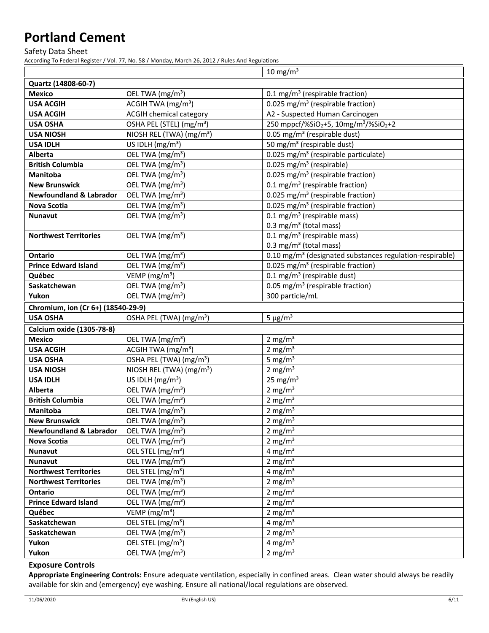Safety Data Sheet

According To Federal Register / Vol. 77, No. 58 / Monday, March 26, 2012 / Rules And Regulations

|                                    |                                      | $10 \text{ mg/m}^3$                                                       |
|------------------------------------|--------------------------------------|---------------------------------------------------------------------------|
| Quartz (14808-60-7)                |                                      |                                                                           |
| <b>Mexico</b>                      | OEL TWA (mg/m <sup>3</sup> )         | 0.1 mg/m <sup>3</sup> (respirable fraction)                               |
| <b>USA ACGIH</b>                   | ACGIH TWA (mg/m <sup>3</sup> )       | 0.025 mg/m <sup>3</sup> (respirable fraction)                             |
| <b>USA ACGIH</b>                   | <b>ACGIH chemical category</b>       | A2 - Suspected Human Carcinogen                                           |
| <b>USA OSHA</b>                    | OSHA PEL (STEL) (mg/m <sup>3</sup> ) | 250 mppcf/%SiO <sub>2</sub> +5, 10mg/m <sup>3</sup> /%SiO <sub>2</sub> +2 |
| <b>USA NIOSH</b>                   | NIOSH REL (TWA) (mg/m <sup>3</sup> ) | 0.05 mg/m <sup>3</sup> (respirable dust)                                  |
| <b>USA IDLH</b>                    | US IDLH $(mg/m3)$                    | 50 mg/m <sup>3</sup> (respirable dust)                                    |
| Alberta                            | OEL TWA (mg/m <sup>3</sup> )         | 0.025 mg/m <sup>3</sup> (respirable particulate)                          |
| <b>British Columbia</b>            | OEL TWA (mg/m <sup>3</sup> )         | 0.025 mg/m <sup>3</sup> (respirable)                                      |
| Manitoba                           | OEL TWA (mg/m <sup>3</sup> )         | $0.025$ mg/m <sup>3</sup> (respirable fraction)                           |
| <b>New Brunswick</b>               | OEL TWA (mg/m <sup>3</sup> )         | 0.1 mg/m <sup>3</sup> (respirable fraction)                               |
| <b>Newfoundland &amp; Labrador</b> | OEL TWA (mg/m <sup>3</sup> )         | 0.025 mg/m <sup>3</sup> (respirable fraction)                             |
| <b>Nova Scotia</b>                 | OEL TWA (mg/m <sup>3</sup> )         | 0.025 mg/m <sup>3</sup> (respirable fraction)                             |
| Nunavut                            | OEL TWA (mg/m <sup>3</sup> )         | $0.1 \text{ mg/m}^3$ (respirable mass)                                    |
|                                    |                                      | $0.3 \text{ mg/m}^3$ (total mass)                                         |
| <b>Northwest Territories</b>       | OEL TWA (mg/m <sup>3</sup> )         | 0.1 mg/m <sup>3</sup> (respirable mass)                                   |
|                                    |                                      | 0.3 mg/m <sup>3</sup> (total mass)                                        |
| <b>Ontario</b>                     | OEL TWA (mg/m <sup>3</sup> )         | 0.10 mg/m <sup>3</sup> (designated substances regulation-respirable)      |
| <b>Prince Edward Island</b>        | OEL TWA (mg/m <sup>3</sup> )         | 0.025 mg/m <sup>3</sup> (respirable fraction)                             |
| Québec                             | VEMP ( $mg/m3$ )                     | 0.1 mg/m <sup>3</sup> (respirable dust)                                   |
| Saskatchewan                       | OEL TWA (mg/m <sup>3</sup> )         | 0.05 mg/m <sup>3</sup> (respirable fraction)                              |
| Yukon                              | OEL TWA (mg/m <sup>3</sup> )         | 300 particle/mL                                                           |
| Chromium, ion (Cr 6+) (18540-29-9) |                                      |                                                                           |
| <b>USA OSHA</b>                    | OSHA PEL (TWA) (mg/m <sup>3</sup> )  | $5 \mu g/m^3$                                                             |
| <b>Calcium oxide (1305-78-8)</b>   |                                      |                                                                           |
| <b>Mexico</b>                      | OEL TWA (mg/m <sup>3</sup> )         | $2 \text{ mg/m}^3$                                                        |
| <b>USA ACGIH</b>                   | ACGIH TWA (mg/m <sup>3</sup> )       | $2 \text{ mg/m}^3$                                                        |
| <b>USA OSHA</b>                    | OSHA PEL (TWA) (mg/m <sup>3</sup> )  | 5 mg/ $m3$                                                                |
| <b>USA NIOSH</b>                   | NIOSH REL (TWA) (mg/m <sup>3</sup> ) | $2 \text{ mg/m}^3$                                                        |
| <b>USA IDLH</b>                    | US IDLH $(mg/m3)$                    | 25 mg/ $m3$                                                               |
| Alberta                            | OEL TWA (mg/m <sup>3</sup> )         | $2 \text{ mg/m}^3$                                                        |
| <b>British Columbia</b>            | OEL TWA (mg/m <sup>3</sup> )         | $2$ mg/m <sup>3</sup>                                                     |
| Manitoba                           | OEL TWA (mg/m <sup>3</sup> )         | $2 \text{ mg/m}^3$                                                        |
| <b>New Brunswick</b>               | OEL TWA (mg/m <sup>3</sup> )         | $2 \text{ mg/m}^3$                                                        |
| <b>Newfoundland &amp; Labrador</b> | OEL TWA (mg/m <sup>3</sup> )         | 2 mg/ $m3$                                                                |
| <b>Nova Scotia</b>                 | OEL TWA (mg/m <sup>3</sup> )         | 2 mg/ $m3$                                                                |
| Nunavut                            | OEL STEL (mg/m <sup>3</sup> )        | 4 mg/ $m3$                                                                |
| <b>Nunavut</b>                     | OEL TWA (mg/m <sup>3</sup> )         | 2 mg/ $m3$                                                                |
| <b>Northwest Territories</b>       | OEL STEL (mg/m <sup>3</sup> )        | 4 mg/ $m3$                                                                |
| <b>Northwest Territories</b>       | OEL TWA (mg/m <sup>3</sup> )         | 2 mg/ $m3$                                                                |
| Ontario                            | OEL TWA (mg/m <sup>3</sup> )         | 2 mg/ $m3$                                                                |
| <b>Prince Edward Island</b>        | OEL TWA (mg/m <sup>3</sup> )         | 2 mg/ $m3$                                                                |
| Québec                             | VEMP ( $mg/m3$ )                     | 2 mg/ $m3$                                                                |
| Saskatchewan                       | OEL STEL (mg/m <sup>3</sup> )        | 4 mg/ $m3$                                                                |
| Saskatchewan                       | OEL TWA (mg/m <sup>3</sup> )         | 2 mg/ $m3$                                                                |
| Yukon                              | OEL STEL (mg/m <sup>3</sup> )        | 4 mg/ $m3$                                                                |
| Yukon                              | OEL TWA (mg/m <sup>3</sup> )         | 2 mg/ $m3$                                                                |

### **Exposure Controls**

**Appropriate Engineering Controls:** Ensure adequate ventilation, especially in confined areas. Clean water should always be readily available for skin and (emergency) eye washing. Ensure all national/local regulations are observed.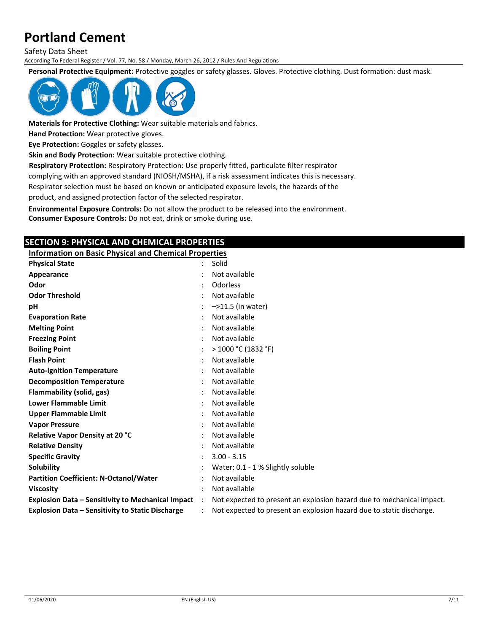Safety Data Sheet

According To Federal Register / Vol. 77, No. 58 / Monday, March 26, 2012 / Rules And Regulations

**Personal Protective Equipment:** Protective goggles or safety glasses. Gloves. Protective clothing. Dust formation: dust mask.



**Materials for Protective Clothing:** Wear suitable materials and fabrics.

**Hand Protection:** Wear protective gloves.

**Eye Protection:** Goggles or safety glasses.

**Skin and Body Protection:** Wear suitable protective clothing.

**Respiratory Protection:** Respiratory Protection: Use properly fitted, particulate filter respirator

complying with an approved standard (NIOSH/MSHA), if a risk assessment indicates this is necessary.

Respirator selection must be based on known or anticipated exposure levels, the hazards of the product, and assigned protection factor of the selected respirator.

**Environmental Exposure Controls:** Do not allow the product to be released into the environment. **Consumer Exposure Controls:** Do not eat, drink or smoke during use.

# **SECTION 9: PHYSICAL AND CHEMICAL PROPERTIES**

**Information on Basic Physical and Chemical Properties**

| <b>Physical State</b>                                    | Solid                                                                 |
|----------------------------------------------------------|-----------------------------------------------------------------------|
| Appearance                                               | Not available                                                         |
| Odor                                                     | Odorless                                                              |
| <b>Odor Threshold</b>                                    | Not available                                                         |
| рH                                                       | $-$ >11.5 (in water)                                                  |
| <b>Evaporation Rate</b>                                  | Not available                                                         |
| <b>Melting Point</b>                                     | Not available                                                         |
| <b>Freezing Point</b>                                    | Not available                                                         |
| <b>Boiling Point</b>                                     | > 1000 °C (1832 °F)                                                   |
| <b>Flash Point</b>                                       | Not available                                                         |
| <b>Auto-ignition Temperature</b>                         | Not available                                                         |
| <b>Decomposition Temperature</b>                         | Not available                                                         |
| Flammability (solid, gas)                                | Not available                                                         |
| <b>Lower Flammable Limit</b>                             | Not available                                                         |
| <b>Upper Flammable Limit</b>                             | Not available                                                         |
| <b>Vapor Pressure</b>                                    | Not available                                                         |
| <b>Relative Vapor Density at 20 °C</b>                   | Not available                                                         |
| <b>Relative Density</b>                                  | Not available                                                         |
| <b>Specific Gravity</b>                                  | $3.00 - 3.15$                                                         |
| Solubility                                               | Water: 0.1 - 1 % Slightly soluble                                     |
| <b>Partition Coefficient: N-Octanol/Water</b>            | Not available                                                         |
| <b>Viscosity</b>                                         | Not available                                                         |
| <b>Explosion Data - Sensitivity to Mechanical Impact</b> | Not expected to present an explosion hazard due to mechanical impact. |
| <b>Explosion Data - Sensitivity to Static Discharge</b>  | Not expected to present an explosion hazard due to static discharge.  |
|                                                          |                                                                       |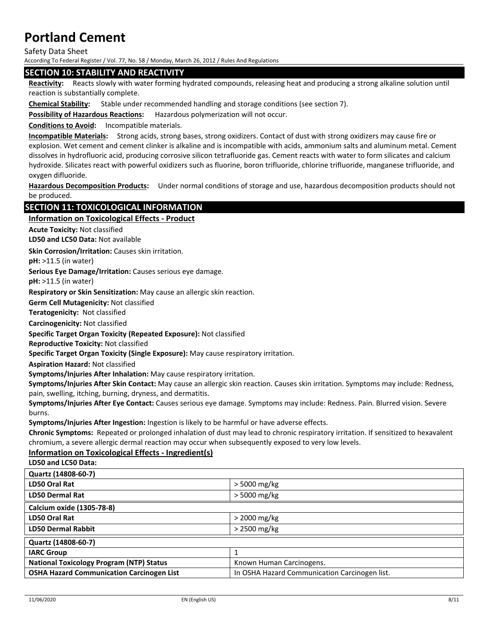Safety Data Sheet

According To Federal Register / Vol. 77, No. 58 / Monday, March 26, 2012 / Rules And Regulations

#### **SECTION 10: STABILITY AND REACTIVITY**

**Reactivity:** Reacts slowly with water forming hydrated compounds, releasing heat and producing a strong alkaline solution until reaction is substantially complete.

**Chemical Stability:** Stable under recommended handling and storage conditions (see section 7).

**Possibility of Hazardous Reactions:** Hazardous polymerization will not occur.

**Conditions to Avoid:** Incompatible materials.

**Incompatible Materials:** Strong acids, strong bases, strong oxidizers. Contact of dust with strong oxidizers may cause fire or explosion. Wet cement and cement clinker is alkaline and is incompatible with acids, ammonium salts and aluminum metal. Cement dissolves in hydrofluoric acid, producing corrosive silicon tetrafluoride gas. Cement reacts with water to form silicates and calcium hydroxide. Silicates react with powerful oxidizers such as fluorine, boron trifluoride, chlorine trifluoride, manganese trifluoride, and oxygen difluoride.

**Hazardous Decomposition Products:** Under normal conditions of storage and use, hazardous decomposition products should not be produced.

### **SECTION 11: TOXICOLOGICAL INFORMATION**

## **Information on Toxicological Effects ‐ Product**

**Acute Toxicity:** Not classified

**LD50 and LC50 Data:** Not available

**Skin Corrosion/Irritation:** Causes skin irritation.

**pH:** >11.5 (in water)

**Serious Eye Damage/Irritation:** Causes serious eye damage.

**pH:** >11.5 (in water)

**Respiratory or Skin Sensitization:** May cause an allergic skin reaction.

**Germ Cell Mutagenicity:** Not classified

**Teratogenicity:** Not classified

**Carcinogenicity:** Not classified

**Specific Target Organ Toxicity (Repeated Exposure):** Not classified

**Reproductive Toxicity:** Not classified

**Specific Target Organ Toxicity (Single Exposure):** May cause respiratory irritation.

**Aspiration Hazard:** Not classified

**Symptoms/Injuries After Inhalation:** May cause respiratory irritation.

**Symptoms/Injuries After Skin Contact:** May cause an allergic skin reaction. Causes skin irritation. Symptoms may include: Redness, pain, swelling, itching, burning, dryness, and dermatitis.

**Symptoms/Injuries After Eye Contact:** Causes serious eye damage. Symptoms may include: Redness. Pain. Blurred vision. Severe burns.

**Symptoms/Injuries After Ingestion:** Ingestion is likely to be harmful or have adverse effects.

**Chronic Symptoms:** Repeated or prolonged inhalation of dust may lead to chronic respiratory irritation. If sensitized to hexavalent chromium, a severe allergic dermal reaction may occur when subsequently exposed to very low levels.

# **Information on Toxicological Effects ‐ Ingredient(s)**

**LD50 and LC50 Data:**

| Quartz (14808-60-7)                              |                                               |
|--------------------------------------------------|-----------------------------------------------|
| LD50 Oral Rat                                    | $>$ 5000 mg/kg                                |
| <b>LD50 Dermal Rat</b>                           | > 5000 mg/kg                                  |
| Calcium oxide (1305-78-8)                        |                                               |
| LD50 Oral Rat                                    | $>$ 2000 mg/kg                                |
| <b>LD50 Dermal Rabbit</b>                        | $>$ 2500 mg/kg                                |
| Quartz (14808-60-7)                              |                                               |
| <b>IARC Group</b>                                |                                               |
| <b>National Toxicology Program (NTP) Status</b>  | Known Human Carcinogens.                      |
| <b>OSHA Hazard Communication Carcinogen List</b> | In OSHA Hazard Communication Carcinogen list. |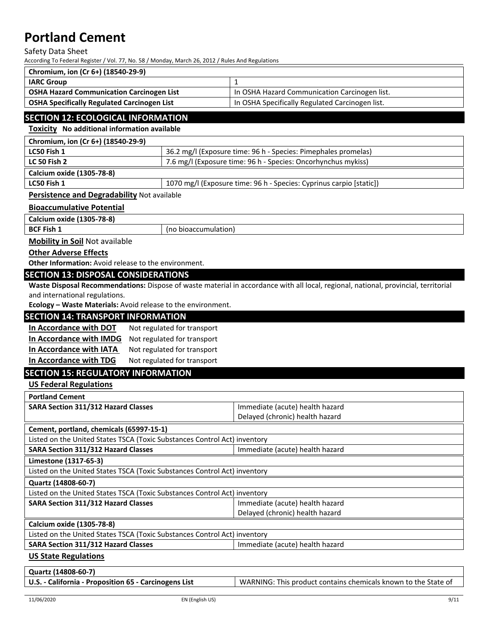#### Safety Data Sheet

According To Federal Register / Vol. 77, No. 58 / Monday, March 26, 2012 / Rules And Regulations

| Chromium, ion (Cr 6+) (18540-29-9)                 |                                                 |
|----------------------------------------------------|-------------------------------------------------|
| <b>IARC Group</b>                                  |                                                 |
| <b>OSHA Hazard Communication Carcinogen List</b>   | In OSHA Hazard Communication Carcinogen list.   |
| <b>OSHA Specifically Regulated Carcinogen List</b> | In OSHA Specifically Regulated Carcinogen list. |

### **SECTION 12: ECOLOGICAL INFORMATION**

**Toxicity No additional information available**

| Chromium, ion (Cr 6+) (18540-29-9)          |                                                                     |
|---------------------------------------------|---------------------------------------------------------------------|
| LC50 Fish 1                                 | 36.2 mg/l (Exposure time: 96 h - Species: Pimephales promelas)      |
| <b>LC 50 Fish 2</b>                         | 7.6 mg/l (Exposure time: 96 h - Species: Oncorhynchus mykiss)       |
| Calcium oxide (1305-78-8)                   |                                                                     |
| LC50 Fish 1                                 | 1070 mg/l (Exposure time: 96 h - Species: Cyprinus carpio [static]) |
| Persistence and Degradability Not available |                                                                     |

#### **Bioaccumulative Potential**

**Calcium oxide (1305‐78‐8)**

**BCF Fish 1** (no bioaccumulation)

**Mobility in Soil** Not available

**Other Adverse Effects**

**Other Information:** Avoid release to the environment.

#### **SECTION 13: DISPOSAL CONSIDERATIONS**

**Waste Disposal Recommendations:** Dispose of waste material in accordance with all local, regional, national, provincial, territorial and international regulations.

**Ecology – Waste Materials:** Avoid release to the environment.

# **SECTION 14: TRANSPORT INFORMATION**

| In Accordance with DOT  | Not regulated for transport |
|-------------------------|-----------------------------|
| In Accordance with IMDG | Not regulated for transport |
| In Accordance with IATA | Not regulated for transport |
| In Accordance with TDG  | Not regulated for transport |

# **SECTION 15: REGULATORY INFORMATION**

**US Federal Regulations**

**Portland Cement**

| Portiand Cement                                                           |                                 |  |
|---------------------------------------------------------------------------|---------------------------------|--|
| <b>SARA Section 311/312 Hazard Classes</b>                                | Immediate (acute) health hazard |  |
|                                                                           | Delayed (chronic) health hazard |  |
| Cement, portland, chemicals (65997-15-1)                                  |                                 |  |
| Listed on the United States TSCA (Toxic Substances Control Act) inventory |                                 |  |
| <b>SARA Section 311/312 Hazard Classes</b>                                | Immediate (acute) health hazard |  |
| Limestone (1317-65-3)                                                     |                                 |  |
| Listed on the United States TSCA (Toxic Substances Control Act) inventory |                                 |  |
| Quartz (14808-60-7)                                                       |                                 |  |
| Listed on the United States TSCA (Toxic Substances Control Act) inventory |                                 |  |
| <b>SARA Section 311/312 Hazard Classes</b>                                | Immediate (acute) health hazard |  |
|                                                                           | Delayed (chronic) health hazard |  |
| Calcium oxide (1305-78-8)                                                 |                                 |  |
| Listed on the United States TSCA (Toxic Substances Control Act) inventory |                                 |  |
| <b>SARA Section 311/312 Hazard Classes</b>                                | Immediate (acute) health hazard |  |
|                                                                           |                                 |  |

#### **US State Regulations**

| Quartz (14808-60-7)                                   |                                                                  |
|-------------------------------------------------------|------------------------------------------------------------------|
| U.S. - California - Proposition 65 - Carcinogens List | l WARNING: This product contains chemicals known to the State of |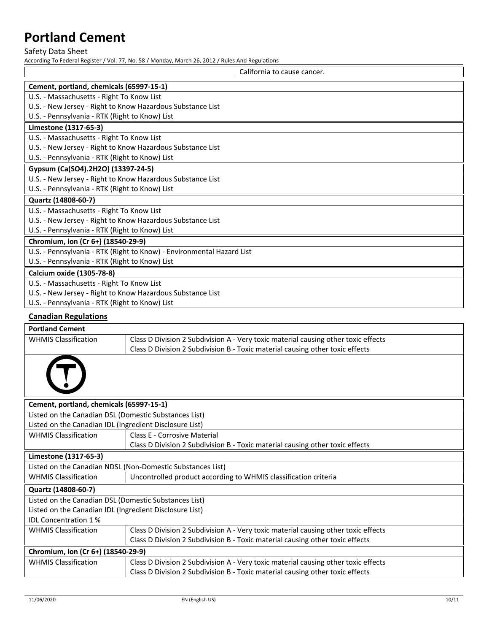Safety Data Sheet

According To Federal Register / Vol. 77, No. 58 / Monday, March 26, 2012 / Rules And Regulations

|                                                                       | California to cause cancer. |
|-----------------------------------------------------------------------|-----------------------------|
| Cement, portland, chemicals (65997-15-1)                              |                             |
| U.S. - Massachusetts - Right To Know List                             |                             |
| U.S. - New Jersey - Right to Know Hazardous Substance List            |                             |
| U.S. - Pennsylvania - RTK (Right to Know) List                        |                             |
| Limestone (1317-65-3)                                                 |                             |
| U.S. - Massachusetts - Right To Know List                             |                             |
| U.S. - New Jersey - Right to Know Hazardous Substance List            |                             |
| U.S. - Pennsylvania - RTK (Right to Know) List                        |                             |
| Gypsum (Ca(SO4).2H2O) (13397-24-5)                                    |                             |
| U.S. - New Jersey - Right to Know Hazardous Substance List            |                             |
| U.S. - Pennsylvania - RTK (Right to Know) List                        |                             |
| Quartz (14808-60-7)                                                   |                             |
| U.S. - Massachusetts - Right To Know List                             |                             |
| U.S. - New Jersey - Right to Know Hazardous Substance List            |                             |
| U.S. - Pennsylvania - RTK (Right to Know) List                        |                             |
| Chromium, ion (Cr 6+) (18540-29-9)                                    |                             |
| U.S. - Pennsylvania - RTK (Right to Know) - Environmental Hazard List |                             |
| U.S. - Pennsylvania - RTK (Right to Know) List                        |                             |
| <b>Calcium oxide (1305-78-8)</b>                                      |                             |
| U.S. - Massachusetts - Right To Know List                             |                             |
| U.S. - New Jersey - Right to Know Hazardous Substance List            |                             |
| U.S. - Pennsylvania - RTK (Right to Know) List                        |                             |

# **Canadian Regulations**

| <b>Portland Cement</b>                                     |                                                                                    |  |
|------------------------------------------------------------|------------------------------------------------------------------------------------|--|
| <b>WHMIS Classification</b>                                | Class D Division 2 Subdivision A - Very toxic material causing other toxic effects |  |
|                                                            | Class D Division 2 Subdivision B - Toxic material causing other toxic effects      |  |
|                                                            |                                                                                    |  |
| Cement, portland, chemicals (65997-15-1)                   |                                                                                    |  |
| Listed on the Canadian DSL (Domestic Substances List)      |                                                                                    |  |
| Listed on the Canadian IDL (Ingredient Disclosure List)    |                                                                                    |  |
| <b>WHMIS Classification</b>                                | Class E - Corrosive Material                                                       |  |
|                                                            | Class D Division 2 Subdivision B - Toxic material causing other toxic effects      |  |
| Limestone (1317-65-3)                                      |                                                                                    |  |
| Listed on the Canadian NDSL (Non-Domestic Substances List) |                                                                                    |  |
| <b>WHMIS Classification</b>                                | Uncontrolled product according to WHMIS classification criteria                    |  |
| Quartz (14808-60-7)                                        |                                                                                    |  |
| Listed on the Canadian DSL (Domestic Substances List)      |                                                                                    |  |
| Listed on the Canadian IDL (Ingredient Disclosure List)    |                                                                                    |  |
| <b>IDL Concentration 1%</b>                                |                                                                                    |  |
| <b>WHMIS Classification</b>                                | Class D Division 2 Subdivision A - Very toxic material causing other toxic effects |  |
|                                                            | Class D Division 2 Subdivision B - Toxic material causing other toxic effects      |  |
| Chromium, ion (Cr 6+) (18540-29-9)                         |                                                                                    |  |
| <b>WHMIS Classification</b>                                | Class D Division 2 Subdivision A - Very toxic material causing other toxic effects |  |
|                                                            | Class D Division 2 Subdivision B - Toxic material causing other toxic effects      |  |